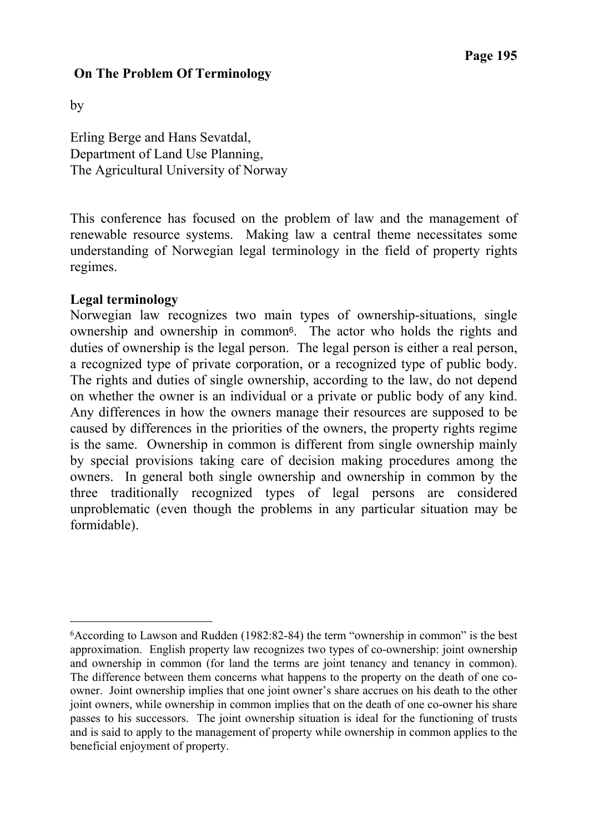# **On The Problem Of Terminology**

by

-

Erling Berge and Hans Sevatdal, Department of Land Use Planning, The Agricultural University of Norway

This conference has focused on the problem of law and the management of renewable resource systems. Making law a central theme necessitates some understanding of Norwegian legal terminology in the field of property rights regimes.

### **Legal terminology**

Norwegian law recognizes two main types of ownership-situations, single ownership and ownership in common6. The actor who holds the rights and duties of ownership is the legal person. The legal person is either a real person, a recognized type of private corporation, or a recognized type of public body. The rights and duties of single ownership, according to the law, do not depend on whether the owner is an individual or a private or public body of any kind. Any differences in how the owners manage their resources are supposed to be caused by differences in the priorities of the owners, the property rights regime is the same. Ownership in common is different from single ownership mainly by special provisions taking care of decision making procedures among the owners. In general both single ownership and ownership in common by the three traditionally recognized types of legal persons are considered unproblematic (even though the problems in any particular situation may be formidable).

<sup>6</sup>According to Lawson and Rudden (1982:82-84) the term "ownership in common" is the best approximation. English property law recognizes two types of co-ownership: joint ownership and ownership in common (for land the terms are joint tenancy and tenancy in common). The difference between them concerns what happens to the property on the death of one coowner. Joint ownership implies that one joint owner's share accrues on his death to the other joint owners, while ownership in common implies that on the death of one co-owner his share passes to his successors. The joint ownership situation is ideal for the functioning of trusts and is said to apply to the management of property while ownership in common applies to the beneficial enjoyment of property.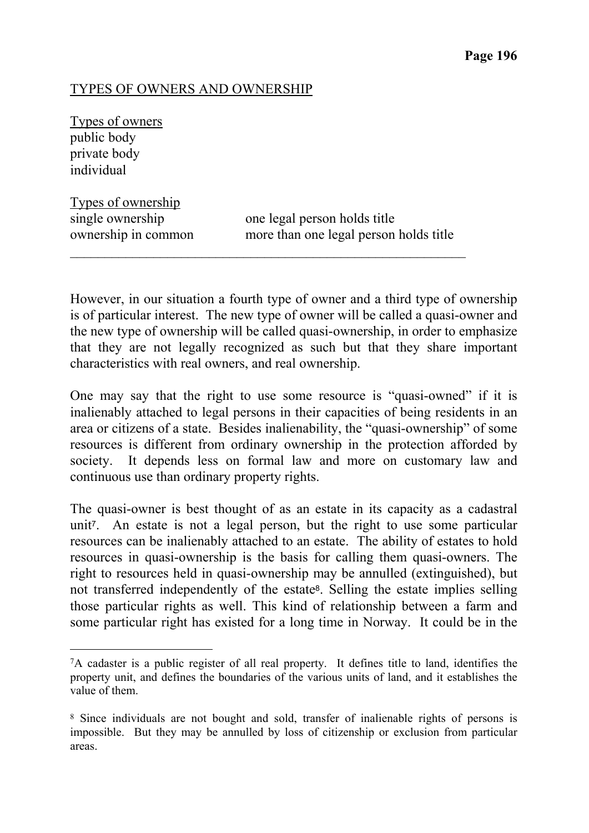## TYPES OF OWNERS AND OWNERSHIP

Types of owners public body private body individual

 $\overline{a}$ 

Types of ownership single ownership one legal person holds title

ownership in common more than one legal person holds title

However, in our situation a fourth type of owner and a third type of ownership is of particular interest. The new type of owner will be called a quasi-owner and the new type of ownership will be called quasi-ownership, in order to emphasize that they are not legally recognized as such but that they share important characteristics with real owners, and real ownership.

 $\mathcal{L}_\text{max}$  , and the contribution of the contribution of the contribution of the contribution of the contribution of the contribution of the contribution of the contribution of the contribution of the contribution of t

One may say that the right to use some resource is "quasi-owned" if it is inalienably attached to legal persons in their capacities of being residents in an area or citizens of a state. Besides inalienability, the "quasi-ownership" of some resources is different from ordinary ownership in the protection afforded by society. It depends less on formal law and more on customary law and continuous use than ordinary property rights.

The quasi-owner is best thought of as an estate in its capacity as a cadastral unit7. An estate is not a legal person, but the right to use some particular resources can be inalienably attached to an estate. The ability of estates to hold resources in quasi-ownership is the basis for calling them quasi-owners. The right to resources held in quasi-ownership may be annulled (extinguished), but not transferred independently of the estate<sup>8</sup>. Selling the estate implies selling those particular rights as well. This kind of relationship between a farm and some particular right has existed for a long time in Norway. It could be in the

<sup>7</sup>A cadaster is a public register of all real property. It defines title to land, identifies the property unit, and defines the boundaries of the various units of land, and it establishes the value of them.

<sup>8</sup> Since individuals are not bought and sold, transfer of inalienable rights of persons is impossible. But they may be annulled by loss of citizenship or exclusion from particular areas.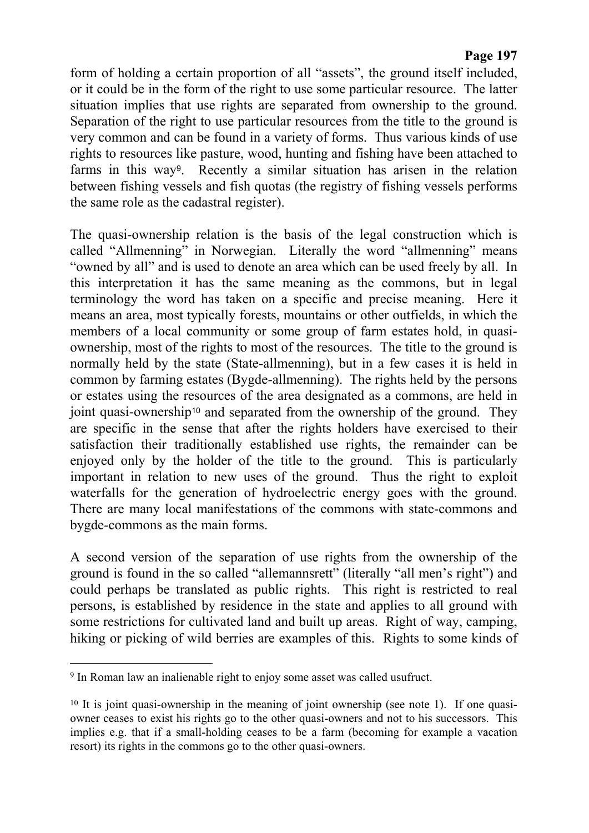form of holding a certain proportion of all "assets", the ground itself included, or it could be in the form of the right to use some particular resource. The latter situation implies that use rights are separated from ownership to the ground. Separation of the right to use particular resources from the title to the ground is very common and can be found in a variety of forms. Thus various kinds of use rights to resources like pasture, wood, hunting and fishing have been attached to farms in this way9. Recently a similar situation has arisen in the relation between fishing vessels and fish quotas (the registry of fishing vessels performs the same role as the cadastral register).

The quasi-ownership relation is the basis of the legal construction which is called "Allmenning" in Norwegian. Literally the word "allmenning" means "owned by all" and is used to denote an area which can be used freely by all. In this interpretation it has the same meaning as the commons, but in legal terminology the word has taken on a specific and precise meaning. Here it means an area, most typically forests, mountains or other outfields, in which the members of a local community or some group of farm estates hold, in quasiownership, most of the rights to most of the resources. The title to the ground is normally held by the state (State-allmenning), but in a few cases it is held in common by farming estates (Bygde-allmenning). The rights held by the persons or estates using the resources of the area designated as a commons, are held in joint quasi-ownership10 and separated from the ownership of the ground. They are specific in the sense that after the rights holders have exercised to their satisfaction their traditionally established use rights, the remainder can be enjoyed only by the holder of the title to the ground. This is particularly important in relation to new uses of the ground. Thus the right to exploit waterfalls for the generation of hydroelectric energy goes with the ground. There are many local manifestations of the commons with state-commons and bygde-commons as the main forms.

A second version of the separation of use rights from the ownership of the ground is found in the so called "allemannsrett" (literally "all men's right") and could perhaps be translated as public rights. This right is restricted to real persons, is established by residence in the state and applies to all ground with some restrictions for cultivated land and built up areas. Right of way, camping, hiking or picking of wild berries are examples of this. Rights to some kinds of

 $\overline{a}$ 

<sup>9</sup> In Roman law an inalienable right to enjoy some asset was called usufruct.

<sup>&</sup>lt;sup>10</sup> It is joint quasi-ownership in the meaning of joint ownership (see note 1). If one quasiowner ceases to exist his rights go to the other quasi-owners and not to his successors. This implies e.g. that if a small-holding ceases to be a farm (becoming for example a vacation resort) its rights in the commons go to the other quasi-owners.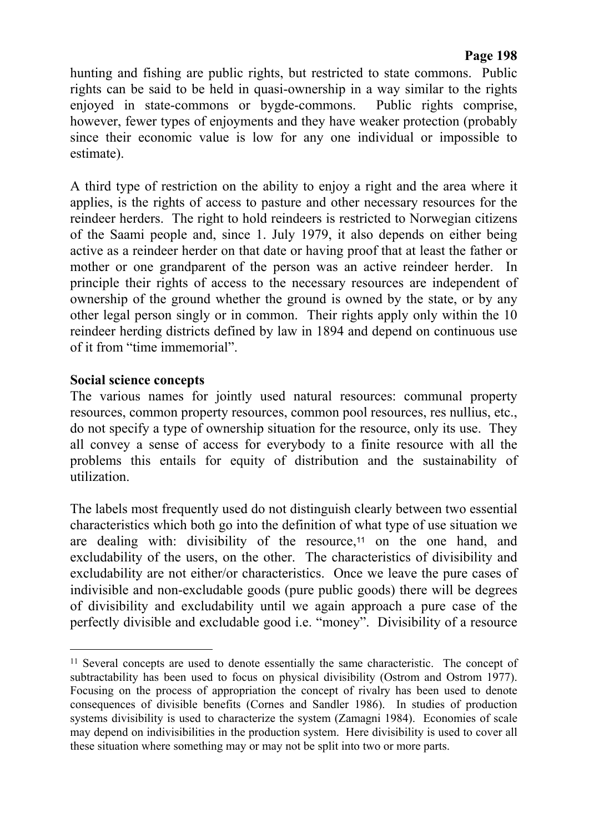hunting and fishing are public rights, but restricted to state commons. Public rights can be said to be held in quasi-ownership in a way similar to the rights enjoyed in state-commons or bygde-commons. Public rights comprise, however, fewer types of enjoyments and they have weaker protection (probably since their economic value is low for any one individual or impossible to estimate).

A third type of restriction on the ability to enjoy a right and the area where it applies, is the rights of access to pasture and other necessary resources for the reindeer herders. The right to hold reindeers is restricted to Norwegian citizens of the Saami people and, since 1. July 1979, it also depends on either being active as a reindeer herder on that date or having proof that at least the father or mother or one grandparent of the person was an active reindeer herder. In principle their rights of access to the necessary resources are independent of ownership of the ground whether the ground is owned by the state, or by any other legal person singly or in common. Their rights apply only within the 10 reindeer herding districts defined by law in 1894 and depend on continuous use of it from "time immemorial".

#### **Social science concepts**

 $\overline{a}$ 

The various names for jointly used natural resources: communal property resources, common property resources, common pool resources, res nullius, etc., do not specify a type of ownership situation for the resource, only its use. They all convey a sense of access for everybody to a finite resource with all the problems this entails for equity of distribution and the sustainability of utilization.

The labels most frequently used do not distinguish clearly between two essential characteristics which both go into the definition of what type of use situation we are dealing with: divisibility of the resource,<sup>11</sup> on the one hand, and excludability of the users, on the other. The characteristics of divisibility and excludability are not either/or characteristics. Once we leave the pure cases of indivisible and non-excludable goods (pure public goods) there will be degrees of divisibility and excludability until we again approach a pure case of the perfectly divisible and excludable good i.e. "money". Divisibility of a resource

<sup>&</sup>lt;sup>11</sup> Several concepts are used to denote essentially the same characteristic. The concept of subtractability has been used to focus on physical divisibility (Ostrom and Ostrom 1977). Focusing on the process of appropriation the concept of rivalry has been used to denote consequences of divisible benefits (Cornes and Sandler 1986). In studies of production systems divisibility is used to characterize the system (Zamagni 1984). Economies of scale may depend on indivisibilities in the production system. Here divisibility is used to cover all these situation where something may or may not be split into two or more parts.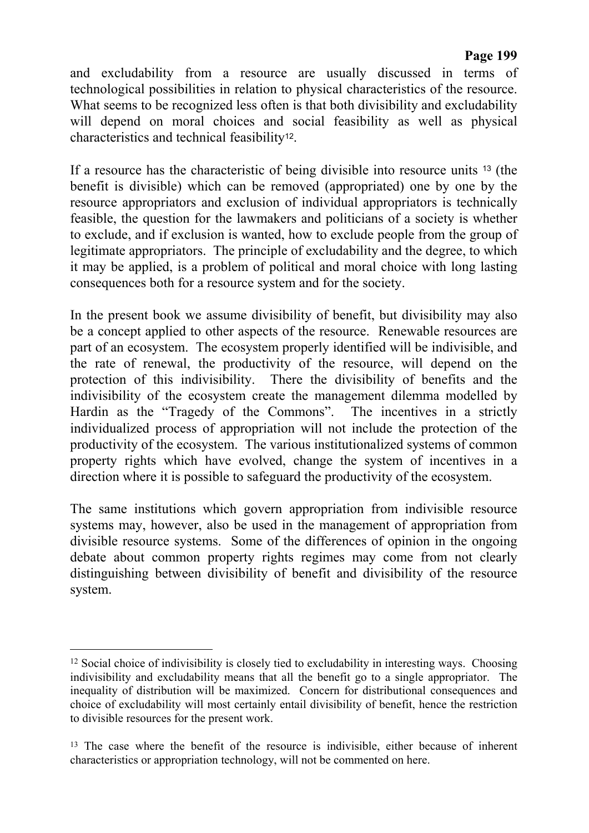and excludability from a resource are usually discussed in terms of technological possibilities in relation to physical characteristics of the resource. What seems to be recognized less often is that both divisibility and excludability will depend on moral choices and social feasibility as well as physical characteristics and technical feasibility12.

If a resource has the characteristic of being divisible into resource units 13 (the benefit is divisible) which can be removed (appropriated) one by one by the resource appropriators and exclusion of individual appropriators is technically feasible, the question for the lawmakers and politicians of a society is whether to exclude, and if exclusion is wanted, how to exclude people from the group of legitimate appropriators. The principle of excludability and the degree, to which it may be applied, is a problem of political and moral choice with long lasting consequences both for a resource system and for the society.

In the present book we assume divisibility of benefit, but divisibility may also be a concept applied to other aspects of the resource. Renewable resources are part of an ecosystem. The ecosystem properly identified will be indivisible, and the rate of renewal, the productivity of the resource, will depend on the protection of this indivisibility. There the divisibility of benefits and the indivisibility of the ecosystem create the management dilemma modelled by Hardin as the "Tragedy of the Commons". The incentives in a strictly individualized process of appropriation will not include the protection of the productivity of the ecosystem. The various institutionalized systems of common property rights which have evolved, change the system of incentives in a direction where it is possible to safeguard the productivity of the ecosystem.

The same institutions which govern appropriation from indivisible resource systems may, however, also be used in the management of appropriation from divisible resource systems. Some of the differences of opinion in the ongoing debate about common property rights regimes may come from not clearly distinguishing between divisibility of benefit and divisibility of the resource system.

-

<sup>&</sup>lt;sup>12</sup> Social choice of indivisibility is closely tied to excludability in interesting ways. Choosing indivisibility and excludability means that all the benefit go to a single appropriator. The inequality of distribution will be maximized. Concern for distributional consequences and choice of excludability will most certainly entail divisibility of benefit, hence the restriction to divisible resources for the present work.

<sup>&</sup>lt;sup>13</sup> The case where the benefit of the resource is indivisible, either because of inherent characteristics or appropriation technology, will not be commented on here.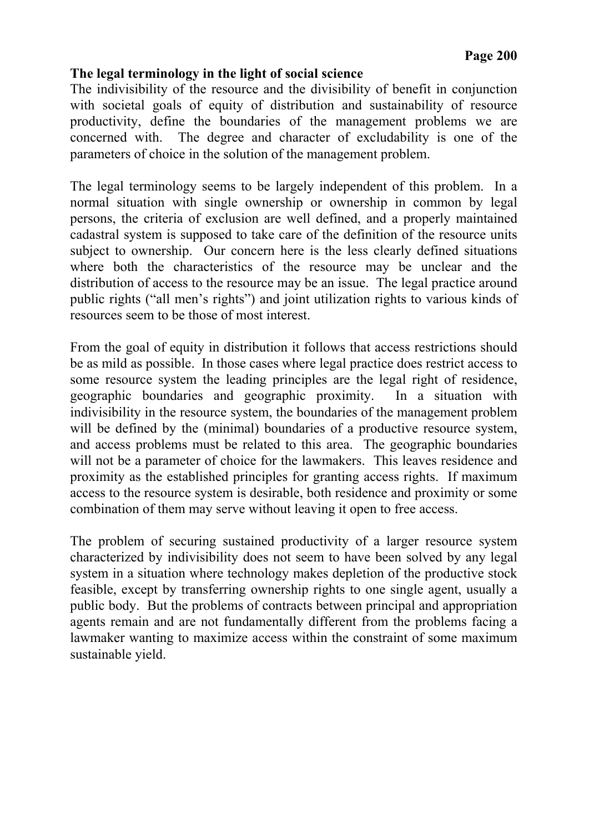## **The legal terminology in the light of social science**

The indivisibility of the resource and the divisibility of benefit in conjunction with societal goals of equity of distribution and sustainability of resource productivity, define the boundaries of the management problems we are concerned with. The degree and character of excludability is one of the parameters of choice in the solution of the management problem.

The legal terminology seems to be largely independent of this problem. In a normal situation with single ownership or ownership in common by legal persons, the criteria of exclusion are well defined, and a properly maintained cadastral system is supposed to take care of the definition of the resource units subject to ownership. Our concern here is the less clearly defined situations where both the characteristics of the resource may be unclear and the distribution of access to the resource may be an issue. The legal practice around public rights ("all men's rights") and joint utilization rights to various kinds of resources seem to be those of most interest.

From the goal of equity in distribution it follows that access restrictions should be as mild as possible. In those cases where legal practice does restrict access to some resource system the leading principles are the legal right of residence, geographic boundaries and geographic proximity. In a situation with indivisibility in the resource system, the boundaries of the management problem will be defined by the (minimal) boundaries of a productive resource system, and access problems must be related to this area. The geographic boundaries will not be a parameter of choice for the lawmakers. This leaves residence and proximity as the established principles for granting access rights. If maximum access to the resource system is desirable, both residence and proximity or some combination of them may serve without leaving it open to free access.

The problem of securing sustained productivity of a larger resource system characterized by indivisibility does not seem to have been solved by any legal system in a situation where technology makes depletion of the productive stock feasible, except by transferring ownership rights to one single agent, usually a public body. But the problems of contracts between principal and appropriation agents remain and are not fundamentally different from the problems facing a lawmaker wanting to maximize access within the constraint of some maximum sustainable yield.